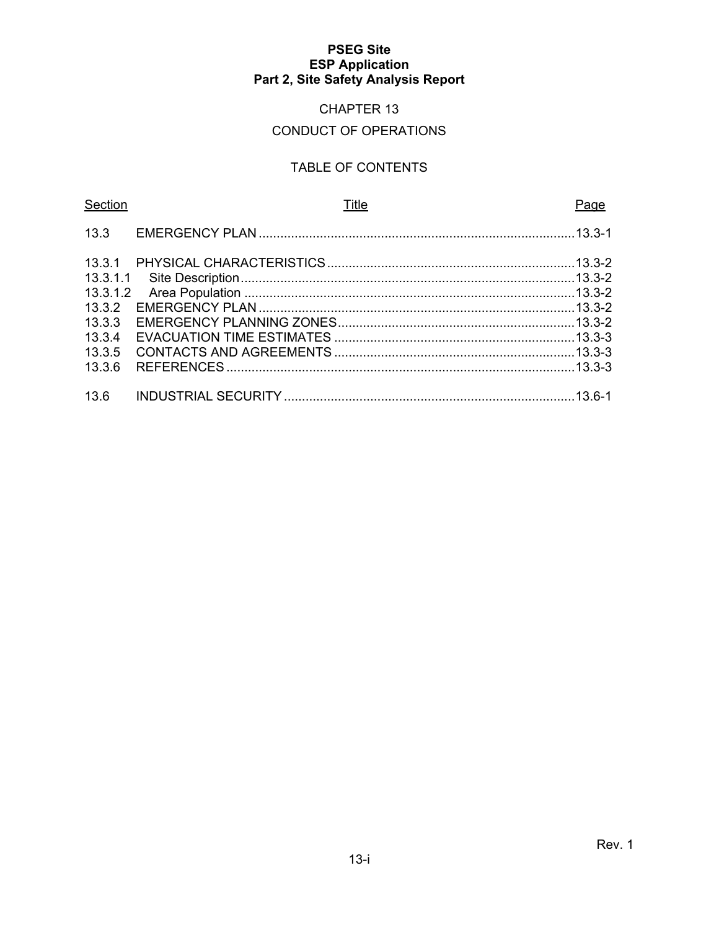# CHAPTER 13

# CONDUCT OF OPERATIONS

# TABLE OF CONTENTS

| Section  | <b>Title</b> | <u>Page</u> |
|----------|--------------|-------------|
|          |              |             |
|          |              |             |
| 13.3.1.1 |              |             |
|          |              |             |
| 13.3.2   |              |             |
| 13.3.3   |              |             |
| 13.3.4   |              |             |
| 13.3.5   |              |             |
| 13.3.6   |              |             |
|          |              |             |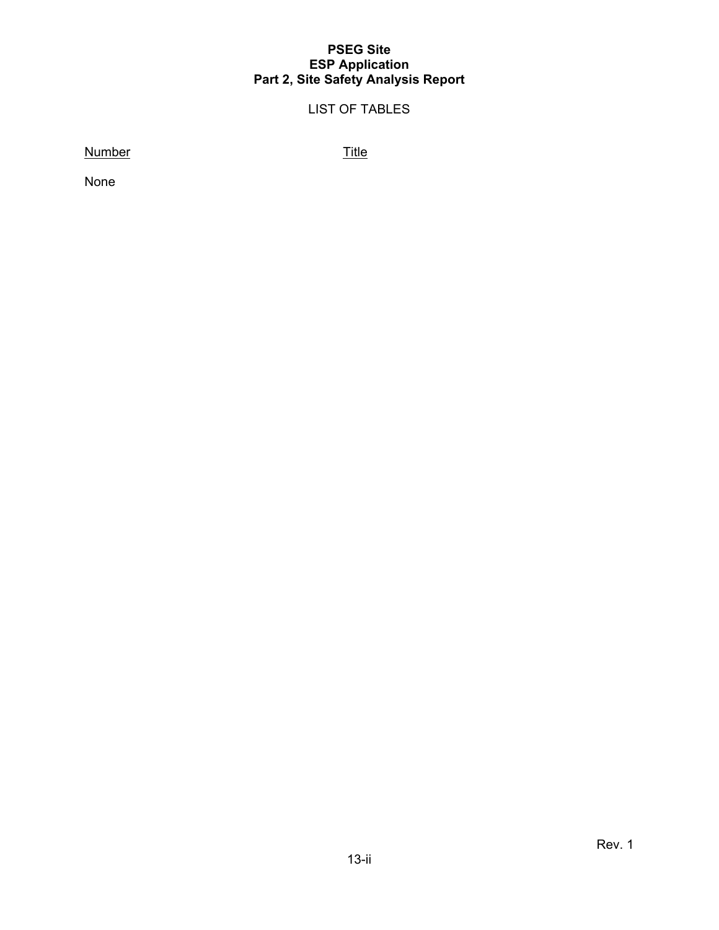# LIST OF TABLES

Number Title

None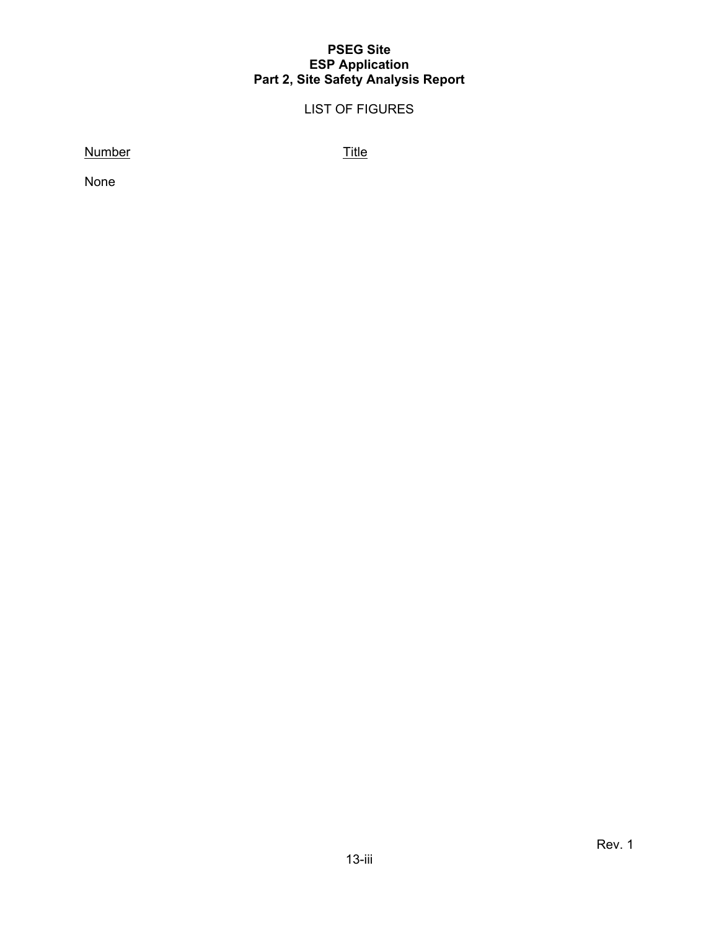# LIST OF FIGURES

Number Title

None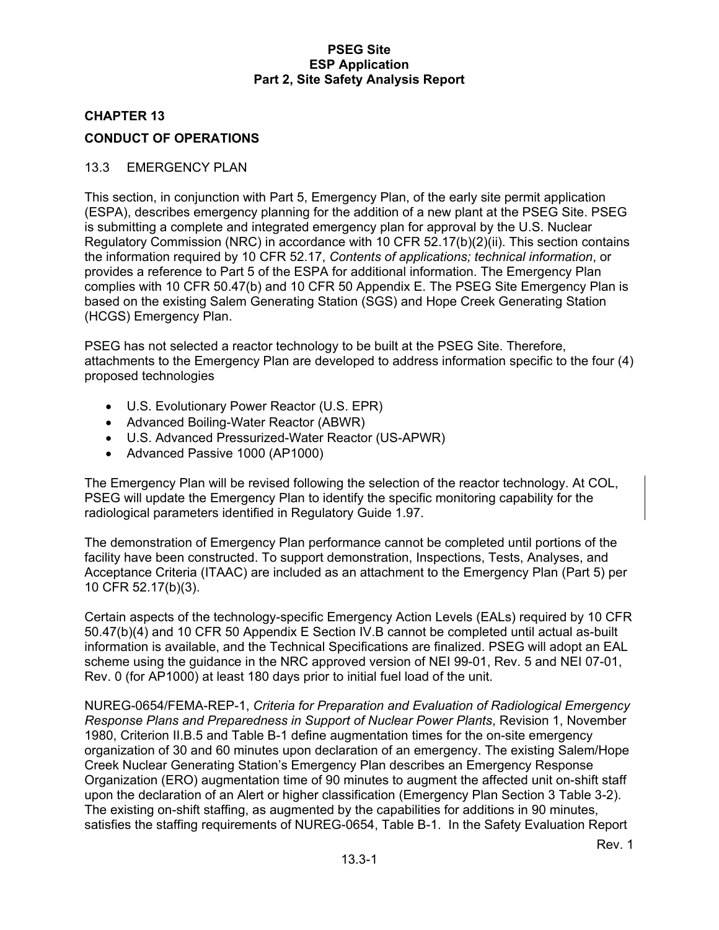# **CHAPTER 13 CONDUCT OF OPERATIONS**

### 13.3 EMERGENCY PLAN

This section, in conjunction with Part 5, Emergency Plan, of the early site permit application (ESPA), describes emergency planning for the addition of a new plant at the PSEG Site. PSEG is submitting a complete and integrated emergency plan for approval by the U.S. Nuclear Regulatory Commission (NRC) in accordance with 10 CFR 52.17(b)(2)(ii). This section contains the information required by 10 CFR 52.17, *Contents of applications; technical information*, or provides a reference to Part 5 of the ESPA for additional information. The Emergency Plan complies with 10 CFR 50.47(b) and 10 CFR 50 Appendix E. The PSEG Site Emergency Plan is based on the existing Salem Generating Station (SGS) and Hope Creek Generating Station (HCGS) Emergency Plan.

PSEG has not selected a reactor technology to be built at the PSEG Site. Therefore, attachments to the Emergency Plan are developed to address information specific to the four (4) proposed technologies

- U.S. Evolutionary Power Reactor (U.S. EPR)
- Advanced Boiling-Water Reactor (ABWR)
- U.S. Advanced Pressurized-Water Reactor (US-APWR)
- Advanced Passive 1000 (AP1000)

The Emergency Plan will be revised following the selection of the reactor technology. At COL, PSEG will update the Emergency Plan to identify the specific monitoring capability for the radiological parameters identified in Regulatory Guide 1.97.

The demonstration of Emergency Plan performance cannot be completed until portions of the facility have been constructed. To support demonstration, Inspections, Tests, Analyses, and Acceptance Criteria (ITAAC) are included as an attachment to the Emergency Plan (Part 5) per 10 CFR 52.17(b)(3).

Certain aspects of the technology-specific Emergency Action Levels (EALs) required by 10 CFR 50.47(b)(4) and 10 CFR 50 Appendix E Section IV.B cannot be completed until actual as-built information is available, and the Technical Specifications are finalized. PSEG will adopt an EAL scheme using the guidance in the NRC approved version of NEI 99-01, Rev. 5 and NEI 07-01, Rev. 0 (for AP1000) at least 180 days prior to initial fuel load of the unit.

NUREG-0654/FEMA-REP-1, *Criteria for Preparation and Evaluation of Radiological Emergency Response Plans and Preparedness in Support of Nuclear Power Plants*, Revision 1, November 1980, Criterion II.B.5 and Table B-1 define augmentation times for the on-site emergency organization of 30 and 60 minutes upon declaration of an emergency. The existing Salem/Hope Creek Nuclear Generating Station's Emergency Plan describes an Emergency Response Organization (ERO) augmentation time of 90 minutes to augment the affected unit on-shift staff upon the declaration of an Alert or higher classification (Emergency Plan Section 3 Table 3-2). The existing on-shift staffing, as augmented by the capabilities for additions in 90 minutes, satisfies the staffing requirements of NUREG-0654, Table B-1. In the Safety Evaluation Report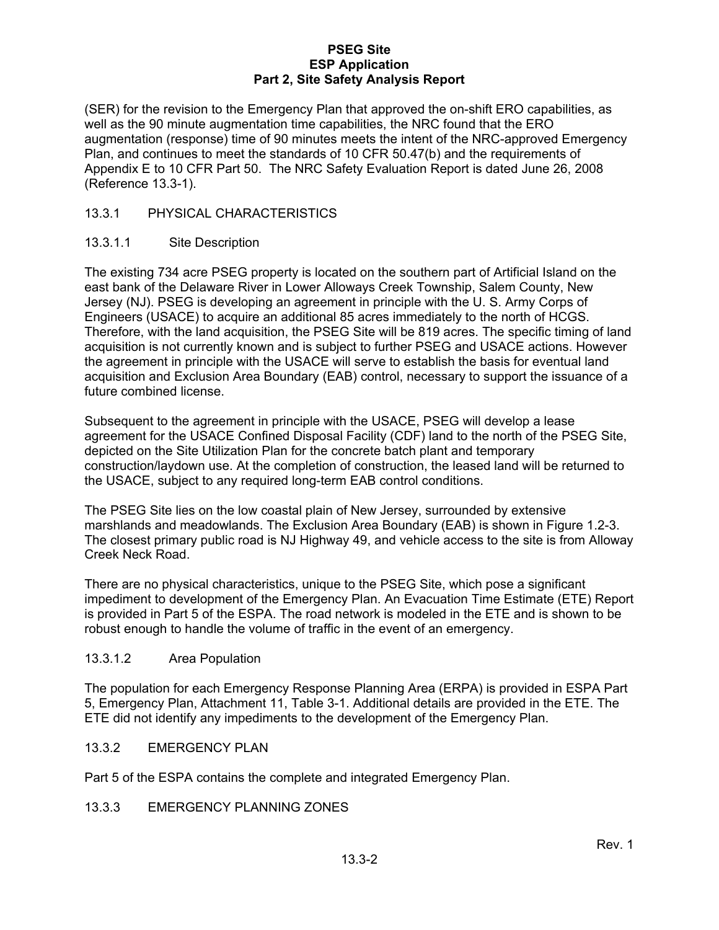(SER) for the revision to the Emergency Plan that approved the on-shift ERO capabilities, as well as the 90 minute augmentation time capabilities, the NRC found that the ERO augmentation (response) time of 90 minutes meets the intent of the NRC-approved Emergency Plan, and continues to meet the standards of 10 CFR 50.47(b) and the requirements of Appendix E to 10 CFR Part 50. The NRC Safety Evaluation Report is dated June 26, 2008 (Reference 13.3-1).

# 13.3.1 PHYSICAL CHARACTERISTICS

#### 13.3.1.1 Site Description

The existing 734 acre PSEG property is located on the southern part of Artificial Island on the east bank of the Delaware River in Lower Alloways Creek Township, Salem County, New Jersey (NJ). PSEG is developing an agreement in principle with the U. S. Army Corps of Engineers (USACE) to acquire an additional 85 acres immediately to the north of HCGS. Therefore, with the land acquisition, the PSEG Site will be 819 acres. The specific timing of land acquisition is not currently known and is subject to further PSEG and USACE actions. However the agreement in principle with the USACE will serve to establish the basis for eventual land acquisition and Exclusion Area Boundary (EAB) control, necessary to support the issuance of a future combined license.

Subsequent to the agreement in principle with the USACE, PSEG will develop a lease agreement for the USACE Confined Disposal Facility (CDF) land to the north of the PSEG Site, depicted on the Site Utilization Plan for the concrete batch plant and temporary construction/laydown use. At the completion of construction, the leased land will be returned to the USACE, subject to any required long-term EAB control conditions.

The PSEG Site lies on the low coastal plain of New Jersey, surrounded by extensive marshlands and meadowlands. The Exclusion Area Boundary (EAB) is shown in Figure 1.2-3. The closest primary public road is NJ Highway 49, and vehicle access to the site is from Alloway Creek Neck Road.

There are no physical characteristics, unique to the PSEG Site, which pose a significant impediment to development of the Emergency Plan. An Evacuation Time Estimate (ETE) Report is provided in Part 5 of the ESPA. The road network is modeled in the ETE and is shown to be robust enough to handle the volume of traffic in the event of an emergency.

# 13.3.1.2 Area Population

The population for each Emergency Response Planning Area (ERPA) is provided in ESPA Part 5, Emergency Plan, Attachment 11, Table 3-1. Additional details are provided in the ETE. The ETE did not identify any impediments to the development of the Emergency Plan.

# 13.3.2 EMERGENCY PLAN

Part 5 of the ESPA contains the complete and integrated Emergency Plan.

# 13.3.3 EMERGENCY PLANNING ZONES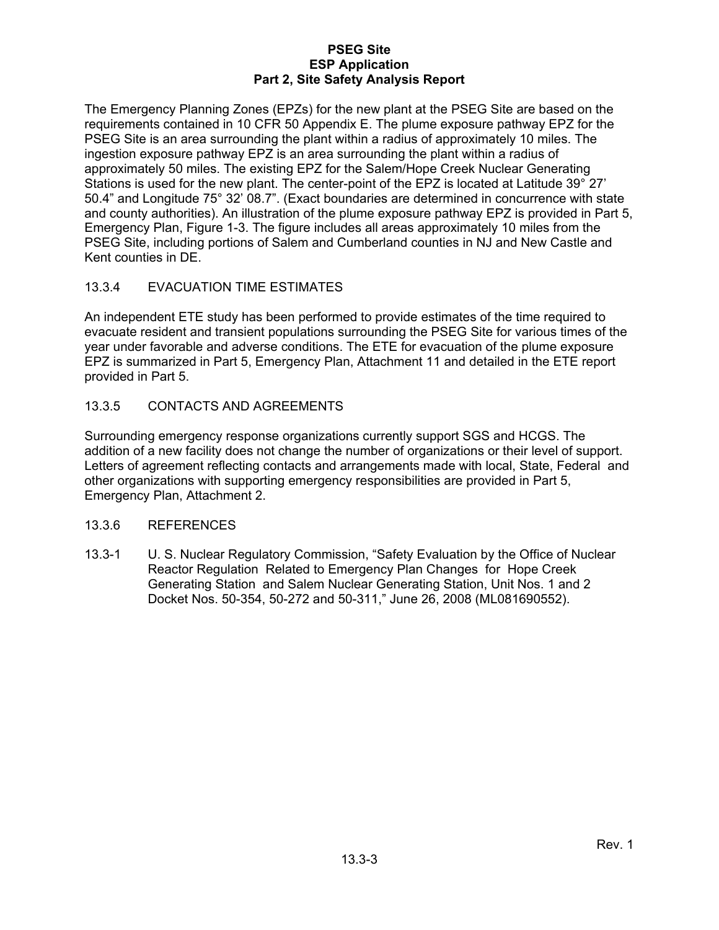The Emergency Planning Zones (EPZs) for the new plant at the PSEG Site are based on the requirements contained in 10 CFR 50 Appendix E. The plume exposure pathway EPZ for the PSEG Site is an area surrounding the plant within a radius of approximately 10 miles. The ingestion exposure pathway EPZ is an area surrounding the plant within a radius of approximately 50 miles. The existing EPZ for the Salem/Hope Creek Nuclear Generating Stations is used for the new plant. The center-point of the EPZ is located at Latitude 39° 27' 50.4" and Longitude 75° 32' 08.7". (Exact boundaries are determined in concurrence with state and county authorities). An illustration of the plume exposure pathway EPZ is provided in Part 5, Emergency Plan, Figure 1-3. The figure includes all areas approximately 10 miles from the PSEG Site, including portions of Salem and Cumberland counties in NJ and New Castle and Kent counties in DE.

# 13.3.4 EVACUATION TIME ESTIMATES

An independent ETE study has been performed to provide estimates of the time required to evacuate resident and transient populations surrounding the PSEG Site for various times of the year under favorable and adverse conditions. The ETE for evacuation of the plume exposure EPZ is summarized in Part 5, Emergency Plan, Attachment 11 and detailed in the ETE report provided in Part 5.

# 13.3.5 CONTACTS AND AGREEMENTS

Surrounding emergency response organizations currently support SGS and HCGS. The addition of a new facility does not change the number of organizations or their level of support. Letters of agreement reflecting contacts and arrangements made with local, State, Federal and other organizations with supporting emergency responsibilities are provided in Part 5, Emergency Plan, Attachment 2.

# 13.3.6 REFERENCES

13.3-1 U. S. Nuclear Regulatory Commission, "Safety Evaluation by the Office of Nuclear Reactor Regulation Related to Emergency Plan Changes for Hope Creek Generating Station and Salem Nuclear Generating Station, Unit Nos. 1 and 2 Docket Nos. 50-354, 50-272 and 50-311," June 26, 2008 (ML081690552).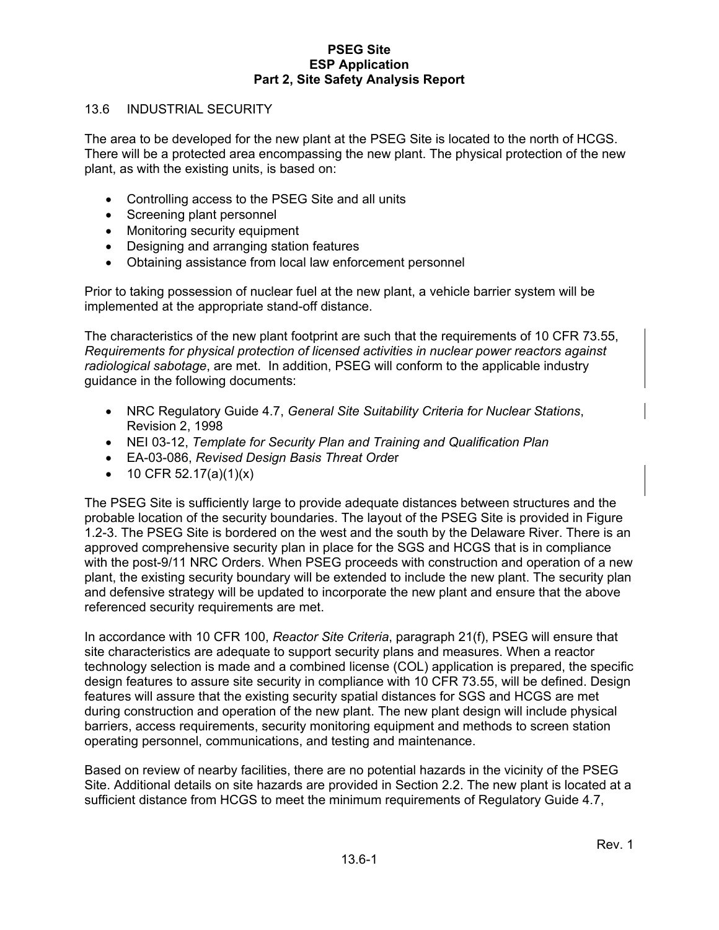#### 13.6 INDUSTRIAL SECURITY

The area to be developed for the new plant at the PSEG Site is located to the north of HCGS. There will be a protected area encompassing the new plant. The physical protection of the new plant, as with the existing units, is based on:

- Controlling access to the PSEG Site and all units
- Screening plant personnel
- Monitoring security equipment
- Designing and arranging station features
- Obtaining assistance from local law enforcement personnel

Prior to taking possession of nuclear fuel at the new plant, a vehicle barrier system will be implemented at the appropriate stand-off distance.

The characteristics of the new plant footprint are such that the requirements of 10 CFR 73.55, *Requirements for physical protection of licensed activities in nuclear power reactors against radiological sabotage*, are met. In addition, PSEG will conform to the applicable industry guidance in the following documents:

- NRC Regulatory Guide 4.7, *General Site Suitability Criteria for Nuclear Stations*, Revision 2, 1998
- NEI 03-12, *Template for Security Plan and Training and Qualification Plan*
- EA-03-086, *Revised Design Basis Threat Orde*r
- 10 CFR 52.17(a)(1)(x)

The PSEG Site is sufficiently large to provide adequate distances between structures and the probable location of the security boundaries. The layout of the PSEG Site is provided in Figure 1.2-3. The PSEG Site is bordered on the west and the south by the Delaware River. There is an approved comprehensive security plan in place for the SGS and HCGS that is in compliance with the post-9/11 NRC Orders. When PSEG proceeds with construction and operation of a new plant, the existing security boundary will be extended to include the new plant. The security plan and defensive strategy will be updated to incorporate the new plant and ensure that the above referenced security requirements are met.

In accordance with 10 CFR 100, *Reactor Site Criteria*, paragraph 21(f), PSEG will ensure that site characteristics are adequate to support security plans and measures. When a reactor technology selection is made and a combined license (COL) application is prepared, the specific design features to assure site security in compliance with 10 CFR 73.55, will be defined. Design features will assure that the existing security spatial distances for SGS and HCGS are met during construction and operation of the new plant. The new plant design will include physical barriers, access requirements, security monitoring equipment and methods to screen station operating personnel, communications, and testing and maintenance.

Based on review of nearby facilities, there are no potential hazards in the vicinity of the PSEG Site. Additional details on site hazards are provided in Section 2.2. The new plant is located at a sufficient distance from HCGS to meet the minimum requirements of Regulatory Guide 4.7,